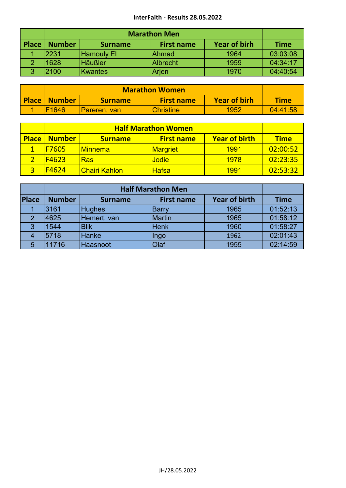## **InterFaith - Results 28.05.2022**

|       | <b>Marathon Men</b> |                   |                   |                     |             |
|-------|---------------------|-------------------|-------------------|---------------------|-------------|
| Place | <b>Number</b>       | <b>Surname</b>    | <b>First name</b> | <b>Year of birh</b> | <b>Time</b> |
|       | 2231                | <b>Hamouly El</b> | Ahmad             | 1964                | 03:03:08    |
|       | 1628                | <b>Häußler</b>    | <b>Albrecht</b>   | 1959                | 04:34:17    |
| 3     | 2100                | <b>Kwantes</b>    | Arjen             | 1970                | 04:40:54    |

| <b>Place Number</b> | <b>Year of birh</b><br><b>First name</b><br><b>Surname</b> |                   |      |          |  |  |
|---------------------|------------------------------------------------------------|-------------------|------|----------|--|--|
| <b>IF1646</b>       | <b>IPareren, van</b>                                       | <b>IChristine</b> | 1952 | 04:41:58 |  |  |

|              | <b>Half Marathon Women</b> |                       |                   |                      |             |
|--------------|----------------------------|-----------------------|-------------------|----------------------|-------------|
| <b>Place</b> | <b>Number</b>              | <b>Surname</b>        | <b>First name</b> | <b>Year of birth</b> | <b>Time</b> |
|              | F7605                      | <u>IMinnema</u>       | <b>Margriet</b>   | 1991                 | 02:00:52    |
|              | F4623                      | <b>Ras</b>            | <b>Jodie</b>      | 1978                 | 02:23:35    |
|              | F4624                      | <u>IChairi Kahlon</u> | <b>Hafsa</b>      | <u> 1991</u>         | 02:53:32    |

| Place | <b>Number</b> | <b>Time</b>   |               |      |          |
|-------|---------------|---------------|---------------|------|----------|
|       | 3161          | <b>Hughes</b> | <b>Barry</b>  | 1965 | 01:52:13 |
| 2     | 4625          | Hemert, van   | <b>Martin</b> | 1965 | 01:58:12 |
| 3     | 1544          | <b>Blik</b>   | <b>Henk</b>   | 1960 | 01:58:27 |
|       | 5718          | Hanke         | Ingo          | 1962 | 02:01:43 |
| 5     | 11716         | Haasnoot      | Olaf          | 1955 | 02:14:59 |